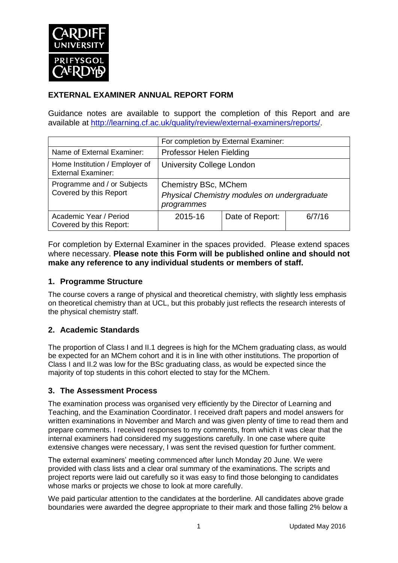

### **EXTERNAL EXAMINER ANNUAL REPORT FORM**

Guidance notes are available to support the completion of this Report and are available at [http://learning.cf.ac.uk/quality/review/external-examiners/reports/.](http://learning.cf.ac.uk/quality/review/external-examiners/reports/)

|                                                             | For completion by External Examiner:                                              |                 |        |  |
|-------------------------------------------------------------|-----------------------------------------------------------------------------------|-----------------|--------|--|
| Name of External Examiner:                                  | Professor Helen Fielding                                                          |                 |        |  |
| Home Institution / Employer of<br><b>External Examiner:</b> | <b>University College London</b>                                                  |                 |        |  |
| Programme and / or Subjects<br>Covered by this Report       | Chemistry BSc, MChem<br>Physical Chemistry modules on undergraduate<br>programmes |                 |        |  |
| Academic Year / Period<br>Covered by this Report:           | 2015-16                                                                           | Date of Report: | 6/7/16 |  |

For completion by External Examiner in the spaces provided. Please extend spaces where necessary. **Please note this Form will be published online and should not make any reference to any individual students or members of staff.**

### **1. Programme Structure**

The course covers a range of physical and theoretical chemistry, with slightly less emphasis on theoretical chemistry than at UCL, but this probably just reflects the research interests of the physical chemistry staff.

#### **2. Academic Standards**

The proportion of Class I and II.1 degrees is high for the MChem graduating class, as would be expected for an MChem cohort and it is in line with other institutions. The proportion of Class I and II.2 was low for the BSc graduating class, as would be expected since the majority of top students in this cohort elected to stay for the MChem.

#### **3. The Assessment Process**

The examination process was organised very efficiently by the Director of Learning and Teaching, and the Examination Coordinator. I received draft papers and model answers for written examinations in November and March and was given plenty of time to read them and prepare comments. I received responses to my comments, from which it was clear that the internal examiners had considered my suggestions carefully. In one case where quite extensive changes were necessary, I was sent the revised question for further comment.

The external examiners' meeting commenced after lunch Monday 20 June. We were provided with class lists and a clear oral summary of the examinations. The scripts and project reports were laid out carefully so it was easy to find those belonging to candidates whose marks or projects we chose to look at more carefully.

We paid particular attention to the candidates at the borderline. All candidates above grade boundaries were awarded the degree appropriate to their mark and those falling 2% below a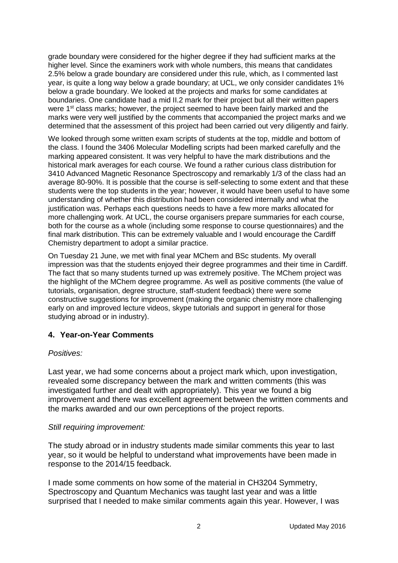grade boundary were considered for the higher degree if they had sufficient marks at the higher level. Since the examiners work with whole numbers, this means that candidates 2.5% below a grade boundary are considered under this rule, which, as I commented last year, is quite a long way below a grade boundary; at UCL, we only consider candidates 1% below a grade boundary. We looked at the projects and marks for some candidates at boundaries. One candidate had a mid II.2 mark for their project but all their written papers were 1<sup>st</sup> class marks; however, the project seemed to have been fairly marked and the marks were very well justified by the comments that accompanied the project marks and we determined that the assessment of this project had been carried out very diligently and fairly.

We looked through some written exam scripts of students at the top, middle and bottom of the class. I found the 3406 Molecular Modelling scripts had been marked carefully and the marking appeared consistent. It was very helpful to have the mark distributions and the historical mark averages for each course. We found a rather curious class distribution for 3410 Advanced Magnetic Resonance Spectroscopy and remarkably 1/3 of the class had an average 80-90%. It is possible that the course is self-selecting to some extent and that these students were the top students in the year; however, it would have been useful to have some understanding of whether this distribution had been considered internally and what the justification was. Perhaps each questions needs to have a few more marks allocated for more challenging work. At UCL, the course organisers prepare summaries for each course, both for the course as a whole (including some response to course questionnaires) and the final mark distribution. This can be extremely valuable and I would encourage the Cardiff Chemistry department to adopt a similar practice.

On Tuesday 21 June, we met with final year MChem and BSc students. My overall impression was that the students enjoyed their degree programmes and their time in Cardiff. The fact that so many students turned up was extremely positive. The MChem project was the highlight of the MChem degree programme. As well as positive comments (the value of tutorials, organisation, degree structure, staff-student feedback) there were some constructive suggestions for improvement (making the organic chemistry more challenging early on and improved lecture videos, skype tutorials and support in general for those studying abroad or in industry).

#### **4. Year-on-Year Comments**

#### *Positives:*

Last year, we had some concerns about a project mark which, upon investigation, revealed some discrepancy between the mark and written comments (this was investigated further and dealt with appropriately). This year we found a big improvement and there was excellent agreement between the written comments and the marks awarded and our own perceptions of the project reports.

#### *Still requiring improvement:*

The study abroad or in industry students made similar comments this year to last year, so it would be helpful to understand what improvements have been made in response to the 2014/15 feedback.

I made some comments on how some of the material in CH3204 Symmetry, Spectroscopy and Quantum Mechanics was taught last year and was a little surprised that I needed to make similar comments again this year. However, I was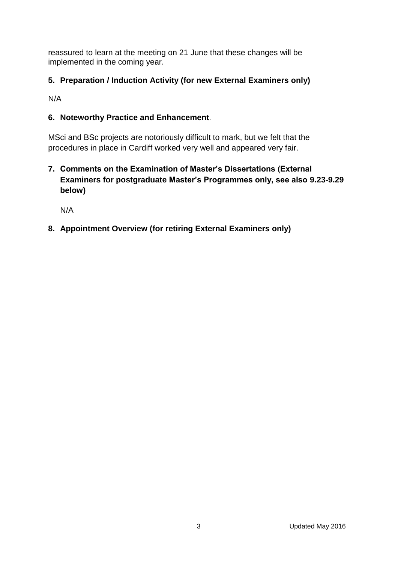reassured to learn at the meeting on 21 June that these changes will be implemented in the coming year.

# **5. Preparation / Induction Activity (for new External Examiners only)**

N/A

### **6. Noteworthy Practice and Enhancement**.

MSci and BSc projects are notoriously difficult to mark, but we felt that the procedures in place in Cardiff worked very well and appeared very fair.

**7. Comments on the Examination of Master's Dissertations (External Examiners for postgraduate Master's Programmes only, see also 9.23-9.29 below)**

N/A

# **8. Appointment Overview (for retiring External Examiners only)**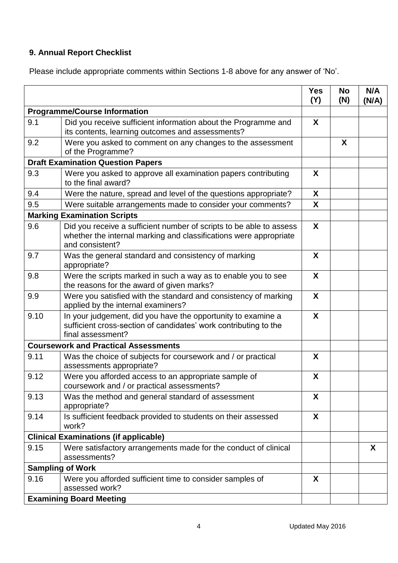# **9. Annual Report Checklist**

Please include appropriate comments within Sections 1-8 above for any answer of 'No'.

|                                          |                                                                                                                                                             | <b>Yes</b><br>(Y) | <b>No</b><br>(N) | N/A<br>(N/A) |
|------------------------------------------|-------------------------------------------------------------------------------------------------------------------------------------------------------------|-------------------|------------------|--------------|
| <b>Programme/Course Information</b>      |                                                                                                                                                             |                   |                  |              |
| 9.1                                      | Did you receive sufficient information about the Programme and<br>its contents, learning outcomes and assessments?                                          | X                 |                  |              |
| 9.2                                      | Were you asked to comment on any changes to the assessment<br>of the Programme?                                                                             |                   | X                |              |
| <b>Draft Examination Question Papers</b> |                                                                                                                                                             |                   |                  |              |
| 9.3                                      | Were you asked to approve all examination papers contributing<br>to the final award?                                                                        | X                 |                  |              |
| 9.4                                      | Were the nature, spread and level of the questions appropriate?                                                                                             | X                 |                  |              |
| 9.5                                      | Were suitable arrangements made to consider your comments?                                                                                                  | X                 |                  |              |
|                                          | <b>Marking Examination Scripts</b>                                                                                                                          |                   |                  |              |
| 9.6                                      | Did you receive a sufficient number of scripts to be able to assess<br>whether the internal marking and classifications were appropriate<br>and consistent? | X                 |                  |              |
| 9.7                                      | Was the general standard and consistency of marking<br>appropriate?                                                                                         | X                 |                  |              |
| 9.8                                      | Were the scripts marked in such a way as to enable you to see<br>the reasons for the award of given marks?                                                  | X                 |                  |              |
| 9.9                                      | Were you satisfied with the standard and consistency of marking<br>applied by the internal examiners?                                                       | X                 |                  |              |
| 9.10                                     | In your judgement, did you have the opportunity to examine a<br>sufficient cross-section of candidates' work contributing to the<br>final assessment?       | X                 |                  |              |
|                                          | <b>Coursework and Practical Assessments</b>                                                                                                                 |                   |                  |              |
| 9.11                                     | Was the choice of subjects for coursework and / or practical<br>assessments appropriate?                                                                    | X                 |                  |              |
| 9.12                                     | Were you afforded access to an appropriate sample of<br>coursework and / or practical assessments?                                                          | X                 |                  |              |
| 9.13                                     | Was the method and general standard of assessment<br>appropriate?                                                                                           | X                 |                  |              |
| 9.14                                     | Is sufficient feedback provided to students on their assessed<br>work?                                                                                      | X                 |                  |              |
|                                          | <b>Clinical Examinations (if applicable)</b>                                                                                                                |                   |                  |              |
| 9.15                                     | Were satisfactory arrangements made for the conduct of clinical<br>assessments?                                                                             |                   |                  | $\mathsf{X}$ |
|                                          | <b>Sampling of Work</b>                                                                                                                                     |                   |                  |              |
| 9.16                                     | Were you afforded sufficient time to consider samples of<br>assessed work?                                                                                  | X                 |                  |              |
|                                          | <b>Examining Board Meeting</b>                                                                                                                              |                   |                  |              |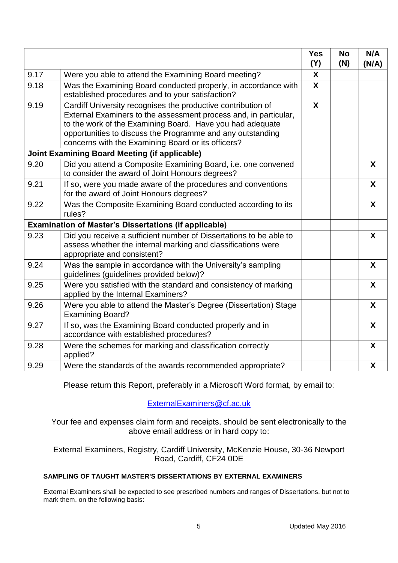|                                                      |                                                                                                                                                                                                                                                                                                                   | <b>Yes</b><br>(Y) | <b>No</b><br>(N) | N/A<br>(N/A)     |
|------------------------------------------------------|-------------------------------------------------------------------------------------------------------------------------------------------------------------------------------------------------------------------------------------------------------------------------------------------------------------------|-------------------|------------------|------------------|
| 9.17                                                 | Were you able to attend the Examining Board meeting?                                                                                                                                                                                                                                                              | X                 |                  |                  |
| 9.18                                                 | Was the Examining Board conducted properly, in accordance with<br>established procedures and to your satisfaction?                                                                                                                                                                                                | $\boldsymbol{X}$  |                  |                  |
| 9.19                                                 | Cardiff University recognises the productive contribution of<br>External Examiners to the assessment process and, in particular,<br>to the work of the Examining Board. Have you had adequate<br>opportunities to discuss the Programme and any outstanding<br>concerns with the Examining Board or its officers? | $\mathbf{x}$      |                  |                  |
| <b>Joint Examining Board Meeting (if applicable)</b> |                                                                                                                                                                                                                                                                                                                   |                   |                  |                  |
| 9.20                                                 | Did you attend a Composite Examining Board, i.e. one convened<br>to consider the award of Joint Honours degrees?                                                                                                                                                                                                  |                   |                  | X                |
| 9.21                                                 | If so, were you made aware of the procedures and conventions<br>for the award of Joint Honours degrees?                                                                                                                                                                                                           |                   |                  | X                |
| 9.22                                                 | Was the Composite Examining Board conducted according to its<br>rules?                                                                                                                                                                                                                                            |                   |                  | X                |
|                                                      | <b>Examination of Master's Dissertations (if applicable)</b>                                                                                                                                                                                                                                                      |                   |                  |                  |
| 9.23                                                 | Did you receive a sufficient number of Dissertations to be able to<br>assess whether the internal marking and classifications were<br>appropriate and consistent?                                                                                                                                                 |                   |                  | X                |
| 9.24                                                 | Was the sample in accordance with the University's sampling<br>guidelines (guidelines provided below)?                                                                                                                                                                                                            |                   |                  | X                |
| 9.25                                                 | Were you satisfied with the standard and consistency of marking<br>applied by the Internal Examiners?                                                                                                                                                                                                             |                   |                  | X                |
| 9.26                                                 | Were you able to attend the Master's Degree (Dissertation) Stage<br><b>Examining Board?</b>                                                                                                                                                                                                                       |                   |                  | $\boldsymbol{X}$ |
| 9.27                                                 | If so, was the Examining Board conducted properly and in<br>accordance with established procedures?                                                                                                                                                                                                               |                   |                  | $\boldsymbol{X}$ |
| 9.28                                                 | Were the schemes for marking and classification correctly<br>applied?                                                                                                                                                                                                                                             |                   |                  | X                |
| 9.29                                                 | Were the standards of the awards recommended appropriate?                                                                                                                                                                                                                                                         |                   |                  | X                |

Please return this Report, preferably in a Microsoft Word format, by email to:

[ExternalExaminers@cf.ac.uk](mailto:ExternalExaminers@cf.ac.uk)

Your fee and expenses claim form and receipts, should be sent electronically to the above email address or in hard copy to:

External Examiners, Registry, Cardiff University, McKenzie House, 30-36 Newport Road, Cardiff, CF24 0DE

#### **SAMPLING OF TAUGHT MASTER'S DISSERTATIONS BY EXTERNAL EXAMINERS**

External Examiners shall be expected to see prescribed numbers and ranges of Dissertations, but not to mark them, on the following basis: